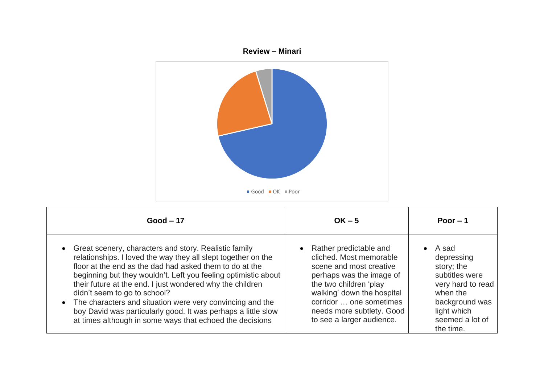

| $Good - 17$                                                                                                                                                                                                                                                                                                                                                                                                                                                                                                                                | $OK - 5$                                                                                                                                                                                                                                                | Poor $-1$                                                                                                                                                          |
|--------------------------------------------------------------------------------------------------------------------------------------------------------------------------------------------------------------------------------------------------------------------------------------------------------------------------------------------------------------------------------------------------------------------------------------------------------------------------------------------------------------------------------------------|---------------------------------------------------------------------------------------------------------------------------------------------------------------------------------------------------------------------------------------------------------|--------------------------------------------------------------------------------------------------------------------------------------------------------------------|
| Great scenery, characters and story. Realistic family<br>relationships. I loved the way they all slept together on the<br>floor at the end as the dad had asked them to do at the<br>beginning but they wouldn't. Left you feeling optimistic about<br>their future at the end. I just wondered why the children<br>didn't seem to go to school?<br>The characters and situation were very convincing and the<br>boy David was particularly good. It was perhaps a little slow<br>at times although in some ways that echoed the decisions | • Rather predictable and<br>cliched. Most memorable<br>scene and most creative<br>perhaps was the image of<br>the two children 'play<br>walking' down the hospital<br>corridor  one sometimes<br>needs more subtlety. Good<br>to see a larger audience. | A sad<br>$\bullet$<br>depressing<br>story; the<br>subtitles were<br>very hard to read<br>when the<br>background was<br>light which<br>seemed a lot of<br>the time. |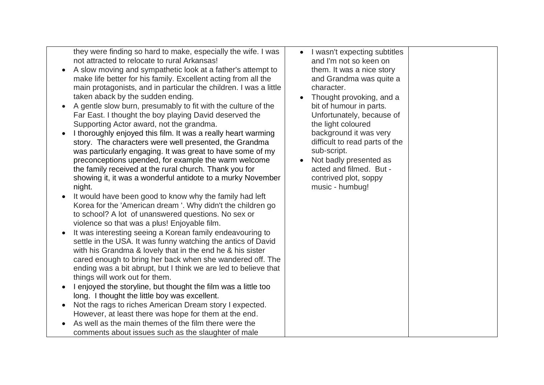they were finding so hard to make, especially the wife. I was not attracted to relocate to rural Arkansas!

- A slow moving and sympathetic look at a father's attempt to make life better for his family. Excellent acting from all the main protagonists, and in particular the children. I was a little taken aback by the sudden ending.
- A gentle slow burn, presumably to fit with the culture of the Far East. I thought the boy playing David deserved the Supporting Actor award, not the grandma.
- I thoroughly enjoyed this film. It was a really heart warming story. The characters were well presented, the Grandma was particularly engaging. It was great to have some of my preconceptions upended, for example the warm welcome the family received at the rural church. Thank you for showing it, it was a wonderful antidote to a murky November night.
- It would have been good to know why the family had left Korea for the 'American dream '. Why didn't the children go to school? A lot of unanswered questions. No sex or violence so that was a plus! Enjoyable film.
- It was interesting seeing a Korean family endeavouring to settle in the USA. It was funny watching the antics of David with his Grandma & lovely that in the end he & his sister cared enough to bring her back when she wandered off. The ending was a bit abrupt, but I think we are led to believe that things will work out for them.
- I enjoyed the storyline, but thought the film was a little too long. I thought the little boy was excellent.
- Not the rags to riches American Dream story I expected. However, at least there was hope for them at the end.
- As well as the main themes of the film there were the comments about issues such as the slaughter of male
- I wasn't expecting subtitles and I'm not so keen on them. It was a nice story and Grandma was quite a character.
- Thought provoking, and a bit of humour in parts. Unfortunately, because of the light coloured background it was very difficult to read parts of the sub-script.
- Not badly presented as acted and filmed. But contrived plot, soppy music - humbug!